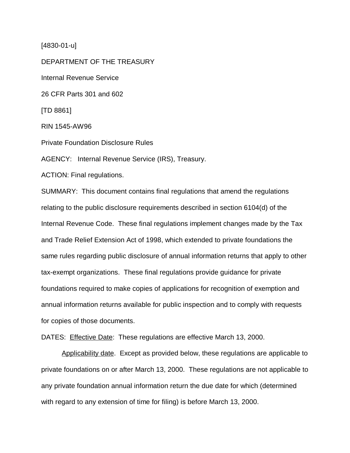[4830-01-u]

DEPARTMENT OF THE TREASURY Internal Revenue Service 26 CFR Parts 301 and 602 [TD 8861] RIN 1545-AW96 Private Foundation Disclosure Rules AGENCY: Internal Revenue Service (IRS), Treasury. ACTION: Final regulations. SUMMARY: This document contains final regulations that amend the regulations

relating to the public disclosure requirements described in section 6104(d) of the Internal Revenue Code. These final regulations implement changes made by the Tax and Trade Relief Extension Act of 1998, which extended to private foundations the same rules regarding public disclosure of annual information returns that apply to other tax-exempt organizations. These final regulations provide guidance for private foundations required to make copies of applications for recognition of exemption and annual information returns available for public inspection and to comply with requests for copies of those documents.

DATES: Effective Date: These regulations are effective March 13, 2000.

Applicability date. Except as provided below, these regulations are applicable to private foundations on or after March 13, 2000. These regulations are not applicable to any private foundation annual information return the due date for which (determined with regard to any extension of time for filing) is before March 13, 2000.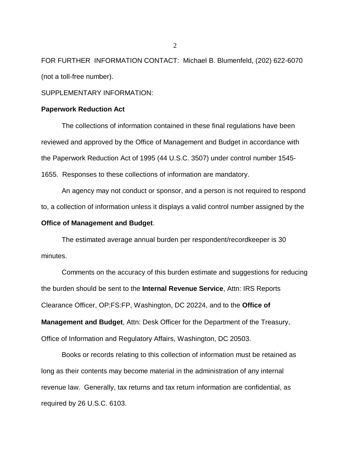FOR FURTHER INFORMATION CONTACT: Michael B. Blumenfeld, (202) 622-6070 (not a toll-free number).

## SUPPLEMENTARY INFORMATION:

#### **Paperwork Reduction Act**

The collections of information contained in these final regulations have been reviewed and approved by the Office of Management and Budget in accordance with the Paperwork Reduction Act of 1995 (44 U.S.C. 3507) under control number 1545- 1655. Responses to these collections of information are mandatory.

An agency may not conduct or sponsor, and a person is not required to respond to, a collection of information unless it displays a valid control number assigned by the

## **Office of Management and Budget**.

The estimated average annual burden per respondent/recordkeeper is 30 minutes.

Comments on the accuracy of this burden estimate and suggestions for reducing the burden should be sent to the **Internal Revenue Service**, Attn: IRS Reports Clearance Officer, OP:FS:FP, Washington, DC 20224, and to the **Office of Management and Budget**, Attn: Desk Officer for the Department of the Treasury, Office of Information and Regulatory Affairs, Washington, DC 20503.

Books or records relating to this collection of information must be retained as long as their contents may become material in the administration of any internal revenue law. Generally, tax returns and tax return information are confidential, as required by 26 U.S.C. 6103.

 $\mathcal{L}$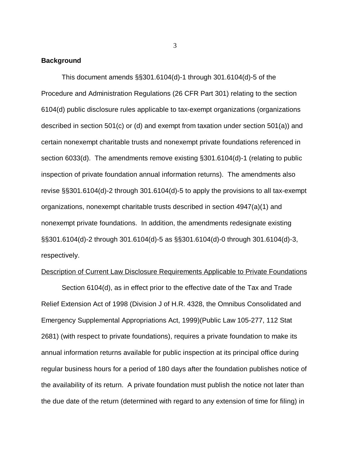## **Background**

This document amends §§301.6104(d)-1 through 301.6104(d)-5 of the Procedure and Administration Regulations (26 CFR Part 301) relating to the section 6104(d) public disclosure rules applicable to tax-exempt organizations (organizations described in section 501(c) or (d) and exempt from taxation under section 501(a)) and certain nonexempt charitable trusts and nonexempt private foundations referenced in section 6033(d). The amendments remove existing §301.6104(d)-1 (relating to public inspection of private foundation annual information returns). The amendments also revise §§301.6104(d)-2 through 301.6104(d)-5 to apply the provisions to all tax-exempt organizations, nonexempt charitable trusts described in section 4947(a)(1) and nonexempt private foundations. In addition, the amendments redesignate existing §§301.6104(d)-2 through 301.6104(d)-5 as §§301.6104(d)-0 through 301.6104(d)-3, respectively.

#### Description of Current Law Disclosure Requirements Applicable to Private Foundations

Section 6104(d), as in effect prior to the effective date of the Tax and Trade Relief Extension Act of 1998 (Division J of H.R. 4328, the Omnibus Consolidated and Emergency Supplemental Appropriations Act, 1999)(Public Law 105-277, 112 Stat 2681) (with respect to private foundations), requires a private foundation to make its annual information returns available for public inspection at its principal office during regular business hours for a period of 180 days after the foundation publishes notice of the availability of its return. A private foundation must publish the notice not later than the due date of the return (determined with regard to any extension of time for filing) in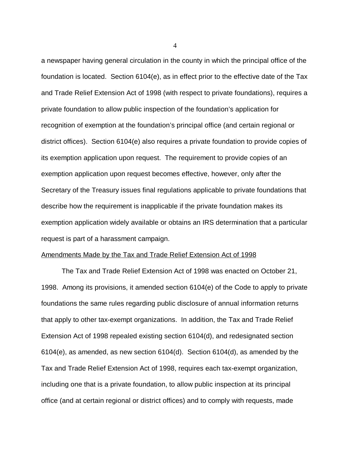a newspaper having general circulation in the county in which the principal office of the foundation is located. Section 6104(e), as in effect prior to the effective date of the Tax and Trade Relief Extension Act of 1998 (with respect to private foundations), requires a private foundation to allow public inspection of the foundation's application for recognition of exemption at the foundation's principal office (and certain regional or district offices). Section 6104(e) also requires a private foundation to provide copies of its exemption application upon request. The requirement to provide copies of an exemption application upon request becomes effective, however, only after the Secretary of the Treasury issues final regulations applicable to private foundations that describe how the requirement is inapplicable if the private foundation makes its exemption application widely available or obtains an IRS determination that a particular request is part of a harassment campaign.

#### Amendments Made by the Tax and Trade Relief Extension Act of 1998

The Tax and Trade Relief Extension Act of 1998 was enacted on October 21, 1998. Among its provisions, it amended section 6104(e) of the Code to apply to private foundations the same rules regarding public disclosure of annual information returns that apply to other tax-exempt organizations. In addition, the Tax and Trade Relief Extension Act of 1998 repealed existing section 6104(d), and redesignated section 6104(e), as amended, as new section 6104(d). Section 6104(d), as amended by the Tax and Trade Relief Extension Act of 1998, requires each tax-exempt organization, including one that is a private foundation, to allow public inspection at its principal office (and at certain regional or district offices) and to comply with requests, made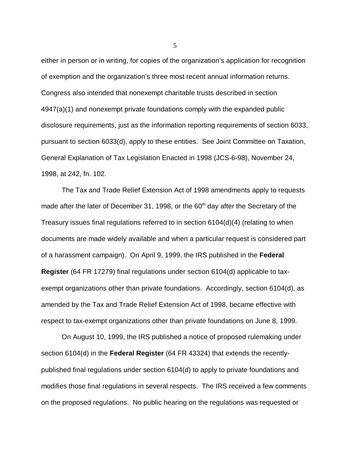either in person or in writing, for copies of the organization's application for recognition of exemption and the organization's three most recent annual information returns. Congress also intended that nonexempt charitable trusts described in section 4947(a)(1) and nonexempt private foundations comply with the expanded public disclosure requirements, just as the information reporting requirements of section 6033, pursuant to section 6033(d), apply to these entities. See Joint Committee on Taxation, General Explanation of Tax Legislation Enacted in 1998 (JCS-6-98), November 24, 1998, at 242, fn. 102.

The Tax and Trade Relief Extension Act of 1998 amendments apply to requests made after the later of December 31, 1998, or the  $60<sup>th</sup>$  day after the Secretary of the Treasury issues final regulations referred to in section 6104(d)(4) (relating to when documents are made widely available and when a particular request is considered part of a harassment campaign). On April 9, 1999, the IRS published in the **Federal Register** (64 FR 17279) final regulations under section 6104(d) applicable to taxexempt organizations other than private foundations. Accordingly, section 6104(d), as amended by the Tax and Trade Relief Extension Act of 1998, became effective with respect to tax-exempt organizations other than private foundations on June 8, 1999.

On August 10, 1999, the IRS published a notice of proposed rulemaking under section 6104(d) in the **Federal Register** (64 FR 43324) that extends the recentlypublished final regulations under section 6104(d) to apply to private foundations and modifies those final regulations in several respects. The IRS received a few comments on the proposed regulations. No public hearing on the regulations was requested or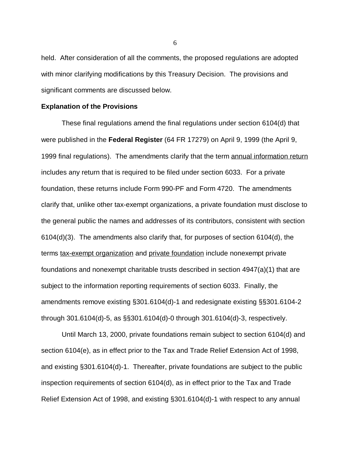held. After consideration of all the comments, the proposed regulations are adopted with minor clarifying modifications by this Treasury Decision. The provisions and significant comments are discussed below.

#### **Explanation of the Provisions**

These final regulations amend the final regulations under section 6104(d) that were published in the **Federal Register** (64 FR 17279) on April 9, 1999 (the April 9, 1999 final regulations). The amendments clarify that the term annual information return includes any return that is required to be filed under section 6033. For a private foundation, these returns include Form 990-PF and Form 4720. The amendments clarify that, unlike other tax-exempt organizations, a private foundation must disclose to the general public the names and addresses of its contributors, consistent with section 6104(d)(3). The amendments also clarify that, for purposes of section 6104(d), the terms tax-exempt organization and private foundation include nonexempt private foundations and nonexempt charitable trusts described in section 4947(a)(1) that are subject to the information reporting requirements of section 6033. Finally, the amendments remove existing §301.6104(d)-1 and redesignate existing §§301.6104-2 through 301.6104(d)-5, as §§301.6104(d)-0 through 301.6104(d)-3, respectively.

Until March 13, 2000, private foundations remain subject to section 6104(d) and section 6104(e), as in effect prior to the Tax and Trade Relief Extension Act of 1998, and existing §301.6104(d)-1. Thereafter, private foundations are subject to the public inspection requirements of section 6104(d), as in effect prior to the Tax and Trade Relief Extension Act of 1998, and existing §301.6104(d)-1 with respect to any annual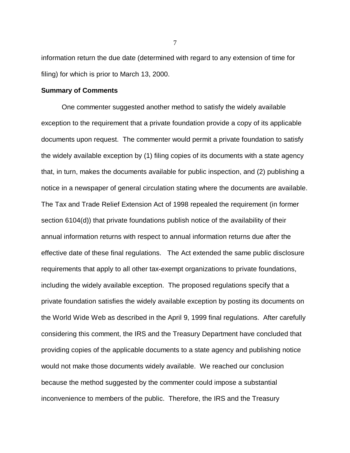information return the due date (determined with regard to any extension of time for filing) for which is prior to March 13, 2000.

#### **Summary of Comments**

One commenter suggested another method to satisfy the widely available exception to the requirement that a private foundation provide a copy of its applicable documents upon request. The commenter would permit a private foundation to satisfy the widely available exception by (1) filing copies of its documents with a state agency that, in turn, makes the documents available for public inspection, and (2) publishing a notice in a newspaper of general circulation stating where the documents are available. The Tax and Trade Relief Extension Act of 1998 repealed the requirement (in former section 6104(d)) that private foundations publish notice of the availability of their annual information returns with respect to annual information returns due after the effective date of these final regulations. The Act extended the same public disclosure requirements that apply to all other tax-exempt organizations to private foundations, including the widely available exception. The proposed regulations specify that a private foundation satisfies the widely available exception by posting its documents on the World Wide Web as described in the April 9, 1999 final regulations. After carefully considering this comment, the IRS and the Treasury Department have concluded that providing copies of the applicable documents to a state agency and publishing notice would not make those documents widely available. We reached our conclusion because the method suggested by the commenter could impose a substantial inconvenience to members of the public. Therefore, the IRS and the Treasury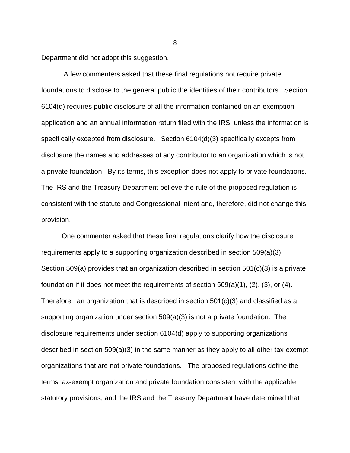Department did not adopt this suggestion.

 A few commenters asked that these final regulations not require private foundations to disclose to the general public the identities of their contributors. Section 6104(d) requires public disclosure of all the information contained on an exemption application and an annual information return filed with the IRS, unless the information is specifically excepted from disclosure. Section 6104(d)(3) specifically excepts from disclosure the names and addresses of any contributor to an organization which is not a private foundation. By its terms, this exception does not apply to private foundations. The IRS and the Treasury Department believe the rule of the proposed regulation is consistent with the statute and Congressional intent and, therefore, did not change this provision.

One commenter asked that these final regulations clarify how the disclosure requirements apply to a supporting organization described in section 509(a)(3). Section 509(a) provides that an organization described in section 501(c)(3) is a private foundation if it does not meet the requirements of section 509(a)(1), (2), (3), or (4). Therefore, an organization that is described in section 501(c)(3) and classified as a supporting organization under section 509(a)(3) is not a private foundation. The disclosure requirements under section 6104(d) apply to supporting organizations described in section 509(a)(3) in the same manner as they apply to all other tax-exempt organizations that are not private foundations. The proposed regulations define the terms tax-exempt organization and private foundation consistent with the applicable statutory provisions, and the IRS and the Treasury Department have determined that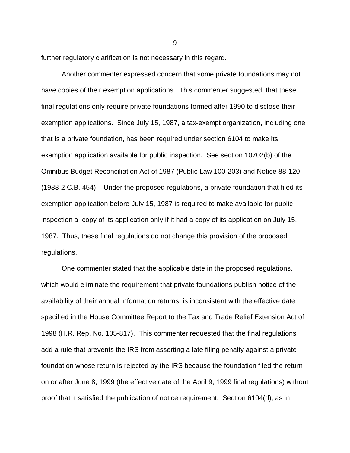further regulatory clarification is not necessary in this regard.

 Another commenter expressed concern that some private foundations may not have copies of their exemption applications. This commenter suggested that these final regulations only require private foundations formed after 1990 to disclose their exemption applications. Since July 15, 1987, a tax-exempt organization, including one that is a private foundation, has been required under section 6104 to make its exemption application available for public inspection. See section 10702(b) of the Omnibus Budget Reconciliation Act of 1987 (Public Law 100-203) and Notice 88-120 (1988-2 C.B. 454). Under the proposed regulations, a private foundation that filed its exemption application before July 15, 1987 is required to make available for public inspection a copy of its application only if it had a copy of its application on July 15, 1987. Thus, these final regulations do not change this provision of the proposed regulations.

One commenter stated that the applicable date in the proposed regulations, which would eliminate the requirement that private foundations publish notice of the availability of their annual information returns, is inconsistent with the effective date specified in the House Committee Report to the Tax and Trade Relief Extension Act of 1998 (H.R. Rep. No. 105-817). This commenter requested that the final regulations add a rule that prevents the IRS from asserting a late filing penalty against a private foundation whose return is rejected by the IRS because the foundation filed the return on or after June 8, 1999 (the effective date of the April 9, 1999 final regulations) without proof that it satisfied the publication of notice requirement. Section 6104(d), as in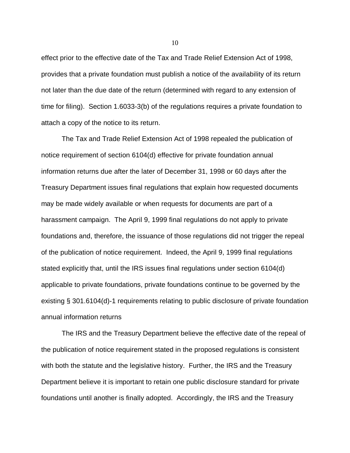effect prior to the effective date of the Tax and Trade Relief Extension Act of 1998, provides that a private foundation must publish a notice of the availability of its return not later than the due date of the return (determined with regard to any extension of time for filing). Section 1.6033-3(b) of the regulations requires a private foundation to attach a copy of the notice to its return.

The Tax and Trade Relief Extension Act of 1998 repealed the publication of notice requirement of section 6104(d) effective for private foundation annual information returns due after the later of December 31, 1998 or 60 days after the Treasury Department issues final regulations that explain how requested documents may be made widely available or when requests for documents are part of a harassment campaign. The April 9, 1999 final regulations do not apply to private foundations and, therefore, the issuance of those regulations did not trigger the repeal of the publication of notice requirement. Indeed, the April 9, 1999 final regulations stated explicitly that, until the IRS issues final regulations under section 6104(d) applicable to private foundations, private foundations continue to be governed by the existing § 301.6104(d)-1 requirements relating to public disclosure of private foundation annual information returns

The IRS and the Treasury Department believe the effective date of the repeal of the publication of notice requirement stated in the proposed regulations is consistent with both the statute and the legislative history. Further, the IRS and the Treasury Department believe it is important to retain one public disclosure standard for private foundations until another is finally adopted. Accordingly, the IRS and the Treasury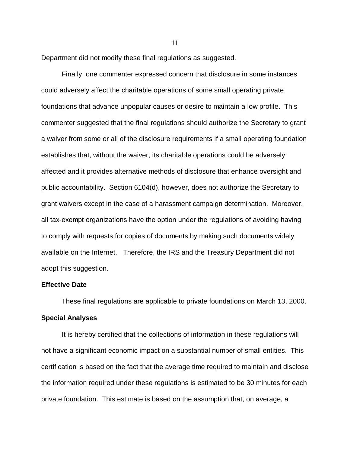Department did not modify these final regulations as suggested.

Finally, one commenter expressed concern that disclosure in some instances could adversely affect the charitable operations of some small operating private foundations that advance unpopular causes or desire to maintain a low profile. This commenter suggested that the final regulations should authorize the Secretary to grant a waiver from some or all of the disclosure requirements if a small operating foundation establishes that, without the waiver, its charitable operations could be adversely affected and it provides alternative methods of disclosure that enhance oversight and public accountability. Section 6104(d), however, does not authorize the Secretary to grant waivers except in the case of a harassment campaign determination. Moreover, all tax-exempt organizations have the option under the regulations of avoiding having to comply with requests for copies of documents by making such documents widely available on the Internet. Therefore, the IRS and the Treasury Department did not adopt this suggestion.

## **Effective Date**

These final regulations are applicable to private foundations on March 13, 2000. **Special Analyses**

It is hereby certified that the collections of information in these regulations will not have a significant economic impact on a substantial number of small entities. This certification is based on the fact that the average time required to maintain and disclose the information required under these regulations is estimated to be 30 minutes for each private foundation. This estimate is based on the assumption that, on average, a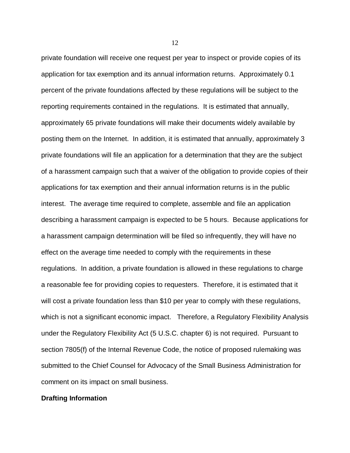private foundation will receive one request per year to inspect or provide copies of its application for tax exemption and its annual information returns. Approximately 0.1 percent of the private foundations affected by these regulations will be subject to the reporting requirements contained in the regulations. It is estimated that annually, approximately 65 private foundations will make their documents widely available by posting them on the Internet. In addition, it is estimated that annually, approximately 3 private foundations will file an application for a determination that they are the subject of a harassment campaign such that a waiver of the obligation to provide copies of their applications for tax exemption and their annual information returns is in the public interest. The average time required to complete, assemble and file an application describing a harassment campaign is expected to be 5 hours. Because applications for a harassment campaign determination will be filed so infrequently, they will have no effect on the average time needed to comply with the requirements in these regulations. In addition, a private foundation is allowed in these regulations to charge a reasonable fee for providing copies to requesters. Therefore, it is estimated that it will cost a private foundation less than \$10 per year to comply with these regulations, which is not a significant economic impact. Therefore, a Regulatory Flexibility Analysis under the Regulatory Flexibility Act (5 U.S.C. chapter 6) is not required. Pursuant to section 7805(f) of the Internal Revenue Code, the notice of proposed rulemaking was submitted to the Chief Counsel for Advocacy of the Small Business Administration for comment on its impact on small business.

#### **Drafting Information**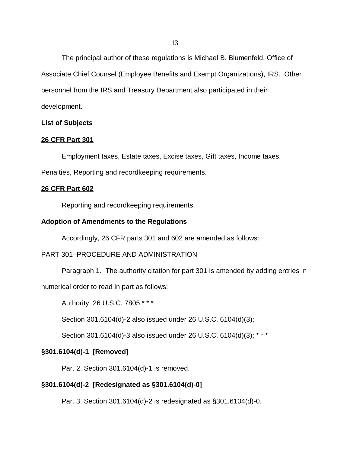The principal author of these regulations is Michael B. Blumenfeld, Office of Associate Chief Counsel (Employee Benefits and Exempt Organizations), IRS. Other personnel from the IRS and Treasury Department also participated in their development.

#### **List of Subjects**

#### **26 CFR Part 301**

Employment taxes, Estate taxes, Excise taxes, Gift taxes, Income taxes,

Penalties, Reporting and recordkeeping requirements.

#### **26 CFR Part 602**

Reporting and recordkeeping requirements.

#### **Adoption of Amendments to the Regulations**

Accordingly, 26 CFR parts 301 and 602 are amended as follows:

## PART 301–PROCEDURE AND ADMINISTRATION

Paragraph 1. The authority citation for part 301 is amended by adding entries in

numerical order to read in part as follows:

Authority: 26 U.S.C. 7805 \* \* \*

Section 301.6104(d)-2 also issued under 26 U.S.C. 6104(d)(3);

Section 301.6104(d)-3 also issued under 26 U.S.C. 6104(d)(3); \* \* \*

## **§301.6104(d)-1 [Removed]**

Par. 2. Section 301.6104(d)-1 is removed.

# **§301.6104(d)-2 [Redesignated as §301.6104(d)-0]**

Par. 3. Section 301.6104(d)-2 is redesignated as §301.6104(d)-0.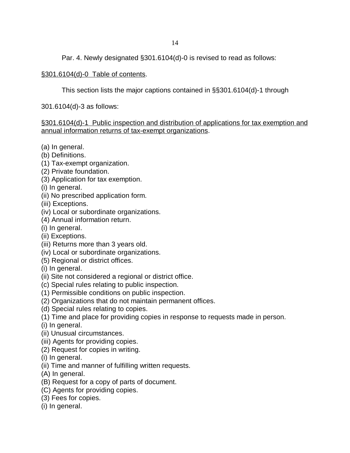Par. 4. Newly designated §301.6104(d)-0 is revised to read as follows:

# §301.6104(d)-0 Table of contents.

This section lists the major captions contained in §§301.6104(d)-1 through

301.6104(d)-3 as follows:

# §301.6104(d)-1 Public inspection and distribution of applications for tax exemption and annual information returns of tax-exempt organizations.

- (a) In general.
- (b) Definitions.
- (1) Tax-exempt organization.
- (2) Private foundation.
- (3) Application for tax exemption.
- (i) In general.
- (ii) No prescribed application form.
- (iii) Exceptions.
- (iv) Local or subordinate organizations.
- (4) Annual information return.
- (i) In general.
- (ii) Exceptions.
- (iii) Returns more than 3 years old.
- (iv) Local or subordinate organizations.
- (5) Regional or district offices.
- (i) In general.
- (ii) Site not considered a regional or district office.
- (c) Special rules relating to public inspection.
- (1) Permissible conditions on public inspection.
- (2) Organizations that do not maintain permanent offices.
- (d) Special rules relating to copies.
- (1) Time and place for providing copies in response to requests made in person.
- (i) In general.
- (ii) Unusual circumstances.
- (iii) Agents for providing copies.
- (2) Request for copies in writing.
- (i) In general.
- (ii) Time and manner of fulfilling written requests.
- (A) In general.
- (B) Request for a copy of parts of document.
- (C) Agents for providing copies.
- (3) Fees for copies.
- (i) In general.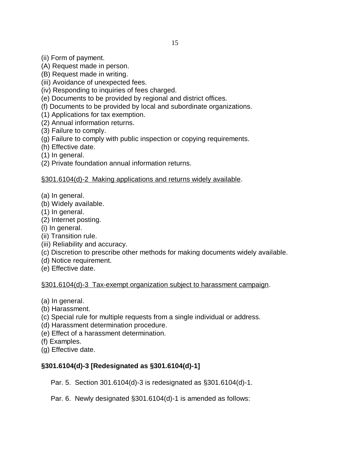- (A) Request made in person.
- (B) Request made in writing.
- (iii) Avoidance of unexpected fees.
- (iv) Responding to inquiries of fees charged.
- (e) Documents to be provided by regional and district offices.
- (f) Documents to be provided by local and subordinate organizations.
- (1) Applications for tax exemption.
- (2) Annual information returns.
- (3) Failure to comply.
- (g) Failure to comply with public inspection or copying requirements.
- (h) Effective date.
- (1) In general.
- (2) Private foundation annual information returns.

# §301.6104(d)-2 Making applications and returns widely available.

- (a) In general.
- (b) Widely available.
- (1) In general.
- (2) Internet posting.
- (i) In general.
- (ii) Transition rule.
- (iii) Reliability and accuracy.
- (c) Discretion to prescribe other methods for making documents widely available.
- (d) Notice requirement.
- (e) Effective date.

§301.6104(d)-3 Tax-exempt organization subject to harassment campaign.

- (a) In general.
- (b) Harassment.
- (c) Special rule for multiple requests from a single individual or address.
- (d) Harassment determination procedure.
- (e) Effect of a harassment determination.
- (f) Examples.
- (g) Effective date.

# **§301.6104(d)-3 [Redesignated as §301.6104(d)-1]**

Par. 5. Section 301.6104(d)-3 is redesignated as §301.6104(d)-1.

Par. 6. Newly designated §301.6104(d)-1 is amended as follows: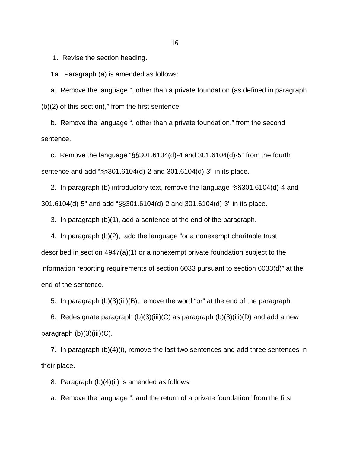1. Revise the section heading.

1a. Paragraph (a) is amended as follows:

 a. Remove the language ", other than a private foundation (as defined in paragraph  $(b)(2)$  of this section)," from the first sentence.

 b. Remove the language ", other than a private foundation," from the second sentence.

 c. Remove the language "§§301.6104(d)-4 and 301.6104(d)-5" from the fourth sentence and add "§§301.6104(d)-2 and 301.6104(d)-3" in its place.

 2. In paragraph (b) introductory text, remove the language "§§301.6104(d)-4 and 301.6104(d)-5" and add "§§301.6104(d)-2 and 301.6104(d)-3" in its place.

3. In paragraph (b)(1), add a sentence at the end of the paragraph.

 4. In paragraph (b)(2), add the language "or a nonexempt charitable trust described in section 4947(a)(1) or a nonexempt private foundation subject to the information reporting requirements of section 6033 pursuant to section 6033(d)" at the end of the sentence.

5. In paragraph (b)(3)(iii)(B), remove the word "or" at the end of the paragraph.

6. Redesignate paragraph  $(b)(3)(iii)(C)$  as paragraph  $(b)(3)(iii)(D)$  and add a new paragraph  $(b)(3)(iii)(C)$ .

 7. In paragraph (b)(4)(i), remove the last two sentences and add three sentences in their place.

8. Paragraph (b)(4)(ii) is amended as follows:

a. Remove the language ", and the return of a private foundation" from the first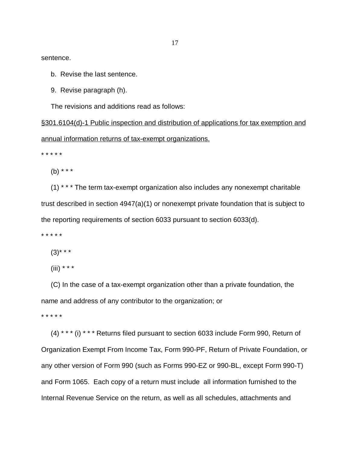sentence.

- b. Revise the last sentence.
- 9. Revise paragraph (h).

The revisions and additions read as follows:

§301.6104(d)-1 Public inspection and distribution of applications for tax exemption and annual information returns of tax-exempt organizations.

\* \* \* \* \*

(b) \* \* \*

 (1) \* \* \* The term tax-exempt organization also includes any nonexempt charitable trust described in section 4947(a)(1) or nonexempt private foundation that is subject to the reporting requirements of section 6033 pursuant to section 6033(d).

\* \* \* \* \*

 $(3)$ \* \* \*

(iii) \* \* \*

 (C) In the case of a tax-exempt organization other than a private foundation, the name and address of any contributor to the organization; or

\* \* \* \* \*

 (4) \* \* \* (i) \* \* \* Returns filed pursuant to section 6033 include Form 990, Return of Organization Exempt From Income Tax, Form 990-PF, Return of Private Foundation, or any other version of Form 990 (such as Forms 990-EZ or 990-BL, except Form 990-T) and Form 1065. Each copy of a return must include all information furnished to the Internal Revenue Service on the return, as well as all schedules, attachments and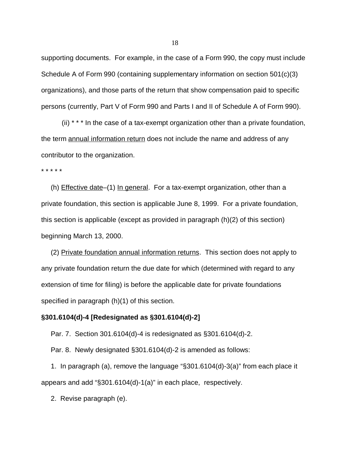supporting documents. For example, in the case of a Form 990, the copy must include Schedule A of Form 990 (containing supplementary information on section 501(c)(3) organizations), and those parts of the return that show compensation paid to specific persons (currently, Part V of Form 990 and Parts I and II of Schedule A of Form 990).

(ii) \* \* \* In the case of a tax-exempt organization other than a private foundation, the term annual information return does not include the name and address of any contributor to the organization.

\* \* \* \* \*

 (h) Effective date–(1) In general. For a tax-exempt organization, other than a private foundation, this section is applicable June 8, 1999. For a private foundation, this section is applicable (except as provided in paragraph (h)(2) of this section) beginning March 13, 2000.

 (2) Private foundation annual information returns. This section does not apply to any private foundation return the due date for which (determined with regard to any extension of time for filing) is before the applicable date for private foundations specified in paragraph (h)(1) of this section.

#### **§301.6104(d)-4 [Redesignated as §301.6104(d)-2]**

Par. 7. Section 301.6104(d)-4 is redesignated as §301.6104(d)-2.

Par. 8. Newly designated §301.6104(d)-2 is amended as follows:

 1. In paragraph (a), remove the language "§301.6104(d)-3(a)" from each place it appears and add "§301.6104(d)-1(a)" in each place, respectively.

2. Revise paragraph (e).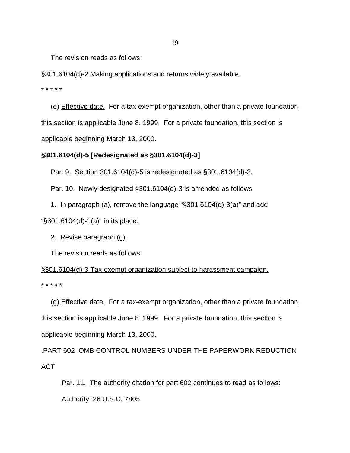The revision reads as follows:

§301.6104(d)-2 Making applications and returns widely available. \* \* \* \* \*

 (e) Effective date. For a tax-exempt organization, other than a private foundation, this section is applicable June 8, 1999. For a private foundation, this section is applicable beginning March 13, 2000.

# **§301.6104(d)-5 [Redesignated as §301.6104(d)-3]**

Par. 9. Section 301.6104(d)-5 is redesignated as §301.6104(d)-3.

Par. 10. Newly designated §301.6104(d)-3 is amended as follows:

 1. In paragraph (a), remove the language "§301.6104(d)-3(a)" and add "§301.6104(d)-1(a)" in its place.

2. Revise paragraph (g).

The revision reads as follows:

§301.6104(d)-3 Tax-exempt organization subject to harassment campaign. \* \* \* \* \*

 (g) Effective date. For a tax-exempt organization, other than a private foundation, this section is applicable June 8, 1999. For a private foundation, this section is applicable beginning March 13, 2000.

.PART 602–OMB CONTROL NUMBERS UNDER THE PAPERWORK REDUCTION ACT

Par. 11. The authority citation for part 602 continues to read as follows: Authority: 26 U.S.C. 7805.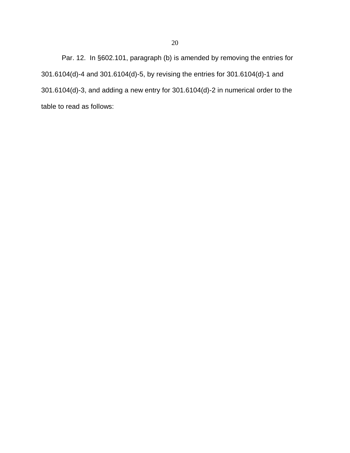Par. 12. In §602.101, paragraph (b) is amended by removing the entries for 301.6104(d)-4 and 301.6104(d)-5, by revising the entries for 301.6104(d)-1 and 301.6104(d)-3, and adding a new entry for 301.6104(d)-2 in numerical order to the table to read as follows: